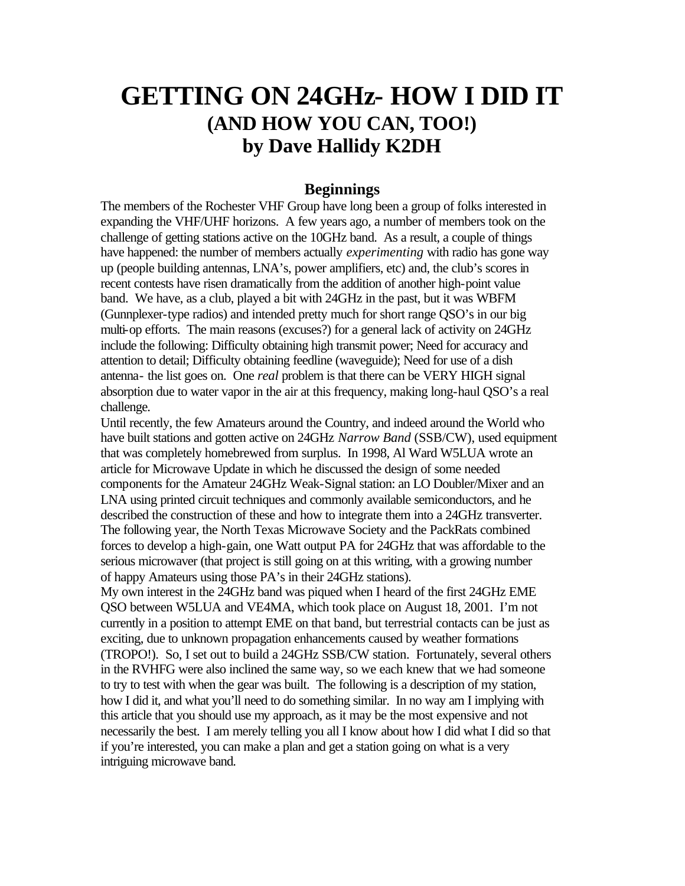# **GETTING ON 24GHz- HOW I DID IT (AND HOW YOU CAN, TOO!) by Dave Hallidy K2DH**

#### **Beginnings**

The members of the Rochester VHF Group have long been a group of folks interested in expanding the VHF/UHF horizons. A few years ago, a number of members took on the challenge of getting stations active on the 10GHz band. As a result, a couple of things have happened: the number of members actually *experimenting* with radio has gone way up (people building antennas, LNA's, power amplifiers, etc) and, the club's scores in recent contests have risen dramatically from the addition of another high-point value band. We have, as a club, played a bit with 24GHz in the past, but it was WBFM (Gunnplexer-type radios) and intended pretty much for short range QSO's in our big multi-op efforts. The main reasons (excuses?) for a general lack of activity on 24GHz include the following: Difficulty obtaining high transmit power; Need for accuracy and attention to detail; Difficulty obtaining feedline (waveguide); Need for use of a dish antenna- the list goes on. One *real* problem is that there can be VERY HIGH signal absorption due to water vapor in the air at this frequency, making long-haul QSO's a real challenge.

Until recently, the few Amateurs around the Country, and indeed around the World who have built stations and gotten active on 24GHz *Narrow Band* (SSB/CW), used equipment that was completely homebrewed from surplus. In 1998, Al Ward W5LUA wrote an article for Microwave Update in which he discussed the design of some needed components for the Amateur 24GHz Weak-Signal station: an LO Doubler/Mixer and an LNA using printed circuit techniques and commonly available semiconductors, and he described the construction of these and how to integrate them into a 24GHz transverter. The following year, the North Texas Microwave Society and the PackRats combined forces to develop a high-gain, one Watt output PA for 24GHz that was affordable to the serious microwaver (that project is still going on at this writing, with a growing number of happy Amateurs using those PA's in their 24GHz stations).

My own interest in the 24GHz band was piqued when I heard of the first 24GHz EME QSO between W5LUA and VE4MA, which took place on August 18, 2001. I'm not currently in a position to attempt EME on that band, but terrestrial contacts can be just as exciting, due to unknown propagation enhancements caused by weather formations (TROPO!). So, I set out to build a 24GHz SSB/CW station. Fortunately, several others in the RVHFG were also inclined the same way, so we each knew that we had someone to try to test with when the gear was built. The following is a description of my station, how I did it, and what you'll need to do something similar. In no way am I implying with this article that you should use my approach, as it may be the most expensive and not necessarily the best. I am merely telling you all I know about how I did what I did so that if you're interested, you can make a plan and get a station going on what is a very intriguing microwave band.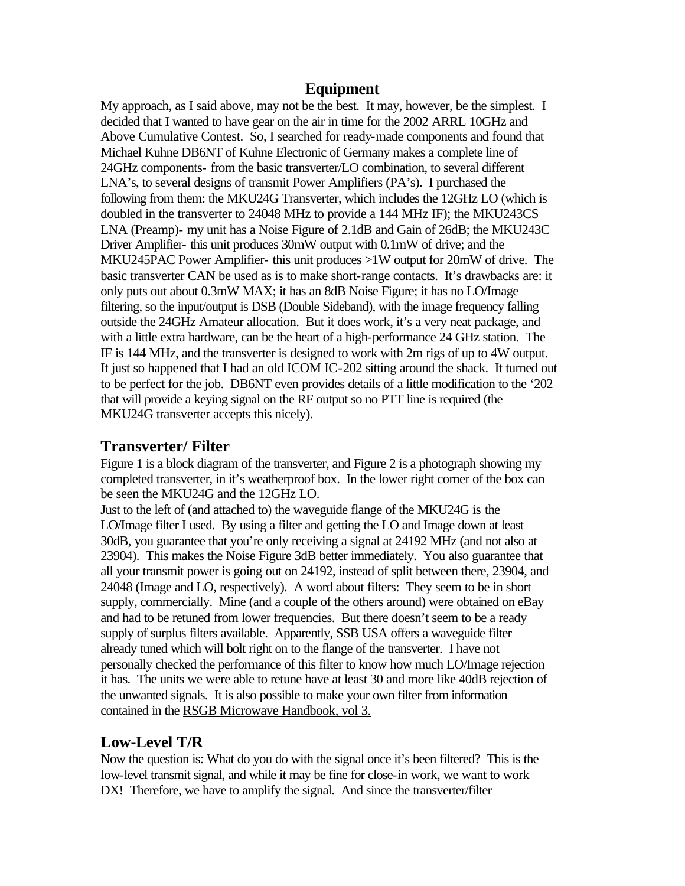#### **Equipment**

My approach, as I said above, may not be the best. It may, however, be the simplest. I decided that I wanted to have gear on the air in time for the 2002 ARRL 10GHz and Above Cumulative Contest. So, I searched for ready-made components and found that Michael Kuhne DB6NT of Kuhne Electronic of Germany makes a complete line of 24GHz components- from the basic transverter/LO combination, to several different LNA's, to several designs of transmit Power Amplifiers (PA's). I purchased the following from them: the MKU24G Transverter, which includes the 12GHz LO (which is doubled in the transverter to 24048 MHz to provide a 144 MHz IF); the MKU243CS LNA (Preamp)- my unit has a Noise Figure of 2.1dB and Gain of 26dB; the MKU243C Driver Amplifier- this unit produces 30mW output with 0.1mW of drive; and the MKU245PAC Power Amplifier- this unit produces >1W output for 20mW of drive. The basic transverter CAN be used as is to make short-range contacts. It's drawbacks are: it only puts out about 0.3mW MAX; it has an 8dB Noise Figure; it has no LO/Image filtering, so the input/output is DSB (Double Sideband), with the image frequency falling outside the 24GHz Amateur allocation. But it does work, it's a very neat package, and with a little extra hardware, can be the heart of a high-performance 24 GHz station. The IF is 144 MHz, and the transverter is designed to work with 2m rigs of up to 4W output. It just so happened that I had an old ICOM IC-202 sitting around the shack. It turned out to be perfect for the job. DB6NT even provides details of a little modification to the '202 that will provide a keying signal on the RF output so no PTT line is required (the MKU24G transverter accepts this nicely).

### **Transverter/ Filter**

Figure 1 is a block diagram of the transverter, and Figure 2 is a photograph showing my completed transverter, in it's weatherproof box. In the lower right corner of the box can be seen the MKU24G and the 12GHz LO.

Just to the left of (and attached to) the waveguide flange of the MKU24G is the LO/Image filter I used. By using a filter and getting the LO and Image down at least 30dB, you guarantee that you're only receiving a signal at 24192 MHz (and not also at 23904). This makes the Noise Figure 3dB better immediately. You also guarantee that all your transmit power is going out on 24192, instead of split between there, 23904, and 24048 (Image and LO, respectively). A word about filters: They seem to be in short supply, commercially. Mine (and a couple of the others around) were obtained on eBay and had to be retuned from lower frequencies. But there doesn't seem to be a ready supply of surplus filters available. Apparently, SSB USA offers a waveguide filter already tuned which will bolt right on to the flange of the transverter. I have not personally checked the performance of this filter to know how much LO/Image rejection it has. The units we were able to retune have at least 30 and more like 40dB rejection of the unwanted signals. It is also possible to make your own filter from information contained in the RSGB Microwave Handbook, vol 3.

# **Low-Level T/R**

Now the question is: What do you do with the signal once it's been filtered? This is the low-level transmit signal, and while it may be fine for close-in work, we want to work DX! Therefore, we have to amplify the signal. And since the transverter/filter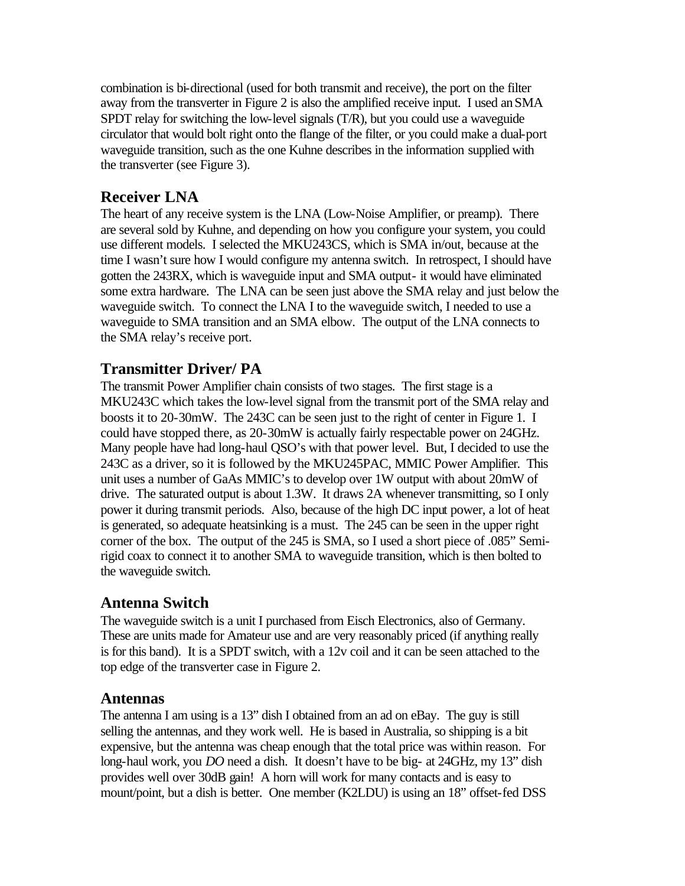combination is bi-directional (used for both transmit and receive), the port on the filter away from the transverter in Figure 2 is also the amplified receive input. I used an SMA SPDT relay for switching the low-level signals (T/R), but you could use a waveguide circulator that would bolt right onto the flange of the filter, or you could make a dual-port waveguide transition, such as the one Kuhne describes in the information supplied with the transverter (see Figure 3).

# **Receiver LNA**

The heart of any receive system is the LNA (Low-Noise Amplifier, or preamp). There are several sold by Kuhne, and depending on how you configure your system, you could use different models. I selected the MKU243CS, which is SMA in/out, because at the time I wasn't sure how I would configure my antenna switch. In retrospect, I should have gotten the 243RX, which is waveguide input and SMA output- it would have eliminated some extra hardware. The LNA can be seen just above the SMA relay and just below the waveguide switch. To connect the LNA I to the waveguide switch, I needed to use a waveguide to SMA transition and an SMA elbow. The output of the LNA connects to the SMA relay's receive port.

# **Transmitter Driver/ PA**

The transmit Power Amplifier chain consists of two stages. The first stage is a MKU243C which takes the low-level signal from the transmit port of the SMA relay and boosts it to 20-30mW. The 243C can be seen just to the right of center in Figure 1. I could have stopped there, as 20-30mW is actually fairly respectable power on 24GHz. Many people have had long-haul QSO's with that power level. But, I decided to use the 243C as a driver, so it is followed by the MKU245PAC, MMIC Power Amplifier. This unit uses a number of GaAs MMIC's to develop over 1W output with about 20mW of drive. The saturated output is about 1.3W. It draws 2A whenever transmitting, so I only power it during transmit periods. Also, because of the high DC input power, a lot of heat is generated, so adequate heatsinking is a must. The 245 can be seen in the upper right corner of the box. The output of the 245 is SMA, so I used a short piece of .085" Semirigid coax to connect it to another SMA to waveguide transition, which is then bolted to the waveguide switch.

# **Antenna Switch**

The waveguide switch is a unit I purchased from Eisch Electronics, also of Germany. These are units made for Amateur use and are very reasonably priced (if anything really is for this band). It is a SPDT switch, with a 12v coil and it can be seen attached to the top edge of the transverter case in Figure 2.

### **Antennas**

The antenna I am using is a 13" dish I obtained from an ad on eBay. The guy is still selling the antennas, and they work well. He is based in Australia, so shipping is a bit expensive, but the antenna was cheap enough that the total price was within reason. For long-haul work, you *DO* need a dish. It doesn't have to be big- at 24GHz, my 13" dish provides well over 30dB gain! A horn will work for many contacts and is easy to mount/point, but a dish is better. One member (K2LDU) is using an 18" offset-fed DSS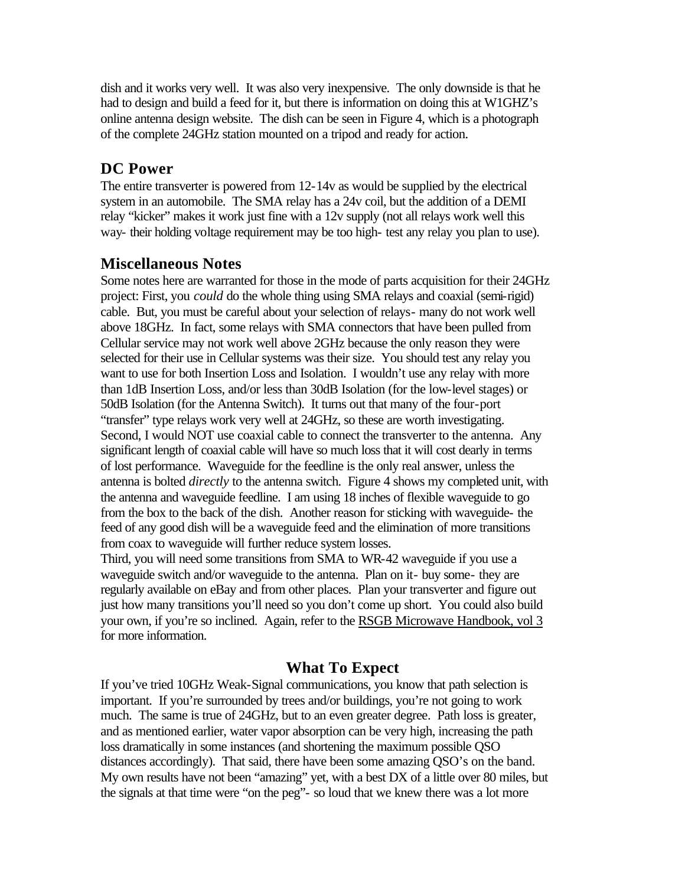dish and it works very well. It was also very inexpensive. The only downside is that he had to design and build a feed for it, but there is information on doing this at W1GHZ's online antenna design website. The dish can be seen in Figure 4, which is a photograph of the complete 24GHz station mounted on a tripod and ready for action.

# **DC Power**

The entire transverter is powered from 12-14v as would be supplied by the electrical system in an automobile. The SMA relay has a 24v coil, but the addition of a DEMI relay "kicker" makes it work just fine with a 12v supply (not all relays work well this way- their holding voltage requirement may be too high- test any relay you plan to use).

## **Miscellaneous Notes**

Some notes here are warranted for those in the mode of parts acquisition for their 24GHz project: First, you *could* do the whole thing using SMA relays and coaxial (semi-rigid) cable. But, you must be careful about your selection of relays- many do not work well above 18GHz. In fact, some relays with SMA connectors that have been pulled from Cellular service may not work well above 2GHz because the only reason they were selected for their use in Cellular systems was their size. You should test any relay you want to use for both Insertion Loss and Isolation. I wouldn't use any relay with more than 1dB Insertion Loss, and/or less than 30dB Isolation (for the low-level stages) or 50dB Isolation (for the Antenna Switch). It turns out that many of the four-port "transfer" type relays work very well at 24GHz, so these are worth investigating. Second, I would NOT use coaxial cable to connect the transverter to the antenna. Any significant length of coaxial cable will have so much loss that it will cost dearly in terms of lost performance. Waveguide for the feedline is the only real answer, unless the antenna is bolted *directly* to the antenna switch. Figure 4 shows my completed unit, with the antenna and waveguide feedline. I am using 18 inches of flexible waveguide to go from the box to the back of the dish. Another reason for sticking with waveguide- the feed of any good dish will be a waveguide feed and the elimination of more transitions from coax to waveguide will further reduce system losses.

Third, you will need some transitions from SMA to WR-42 waveguide if you use a waveguide switch and/or waveguide to the antenna. Plan on it- buy some- they are regularly available on eBay and from other places. Plan your transverter and figure out just how many transitions you'll need so you don't come up short. You could also build your own, if you're so inclined. Again, refer to the RSGB Microwave Handbook, vol 3 for more information.

### **What To Expect**

If you've tried 10GHz Weak-Signal communications, you know that path selection is important. If you're surrounded by trees and/or buildings, you're not going to work much. The same is true of 24GHz, but to an even greater degree. Path loss is greater, and as mentioned earlier, water vapor absorption can be very high, increasing the path loss dramatically in some instances (and shortening the maximum possible QSO distances accordingly). That said, there have been some amazing QSO's on the band. My own results have not been "amazing" yet, with a best DX of a little over 80 miles, but the signals at that time were "on the peg"- so loud that we knew there was a lot more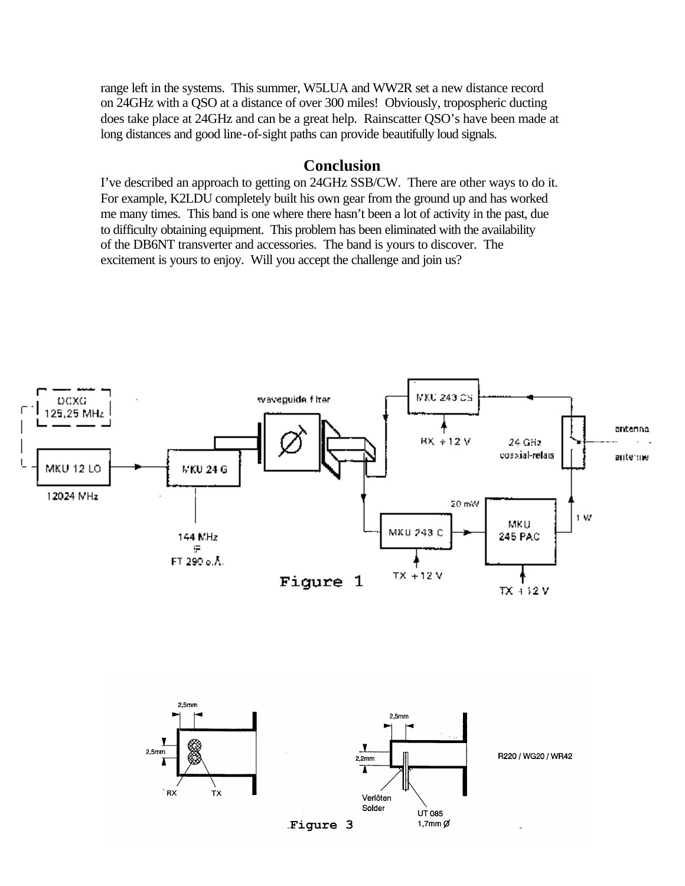range left in the systems. This summer, W5LUA and WW2R set a new distance record on 24GHz with a QSO at a distance of over 300 miles! Obviously, tropospheric ducting does take place at 24GHz and can be a great help. Rainscatter QSO's have been made at long distances and good line-of-sight paths can provide beautifully loud signals.

#### **Conclusion**

I've described an approach to getting on 24GHz SSB/CW. There are other ways to do it. For example, K2LDU completely built his own gear from the ground up and has worked me many times. This band is one where there hasn't been a lot of activity in the past, due to difficulty obtaining equipment. This problem has been eliminated with the availability of the DB6NT transverter and accessories. The band is yours to discover. The excitement is yours to enjoy. Will you accept the challenge and join us?